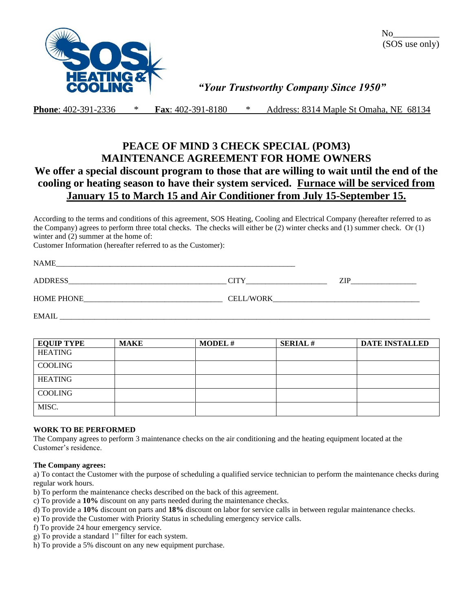

 $\overline{\text{No}}$ (SOS use only)

## *"Your Trustworthy Company Since 1950"*

**Phone**: 402-391-2336 \* **Fax**: 402-391-8180 \* Address: 8314 Maple St Omaha, NE 68134

# **PEACE OF MIND 3 CHECK SPECIAL (POM3) MAINTENANCE AGREEMENT FOR HOME OWNERS We offer a special discount program to those that are willing to wait until the end of the cooling or heating season to have their system serviced. Furnace will be serviced from January 15 to March 15 and Air Conditioner from July 15-September 15.**

According to the terms and conditions of this agreement, SOS Heating, Cooling and Electrical Company (hereafter referred to as the Company) agrees to perform three total checks. The checks will either be (2) winter checks and (1) summer check. Or (1) winter and  $(2)$  summer at the home of:

Customer Information (hereafter referred to as the Customer):

| <b>NAME</b>       |                  |            |
|-------------------|------------------|------------|
| <b>ADDRESS</b>    |                  | ZIP<br>. . |
| <b>HOME PHONE</b> | <b>CELL/WORK</b> |            |

 $EMAIL$ 

| <b>EQUIP TYPE</b> | <b>MAKE</b> | <b>MODEL#</b> | <b>SERIAL#</b> | <b>DATE INSTALLED</b> |
|-------------------|-------------|---------------|----------------|-----------------------|
| HEATING           |             |               |                |                       |
| COOLING           |             |               |                |                       |
| <b>HEATING</b>    |             |               |                |                       |
| <b>COOLING</b>    |             |               |                |                       |
| MISC.             |             |               |                |                       |

### **WORK TO BE PERFORMED**

The Company agrees to perform 3 maintenance checks on the air conditioning and the heating equipment located at the Customer's residence.

### **The Company agrees:**

a) To contact the Customer with the purpose of scheduling a qualified service technician to perform the maintenance checks during regular work hours.

- b) To perform the maintenance checks described on the back of this agreement.
- c) To provide a **10%** discount on any parts needed during the maintenance checks.
- d) To provide a **10%** discount on parts and **18%** discount on labor for service calls in between regular maintenance checks.
- e) To provide the Customer with Priority Status in scheduling emergency service calls.
- f) To provide 24 hour emergency service.
- g) To provide a standard 1" filter for each system.
- h) To provide a 5% discount on any new equipment purchase.